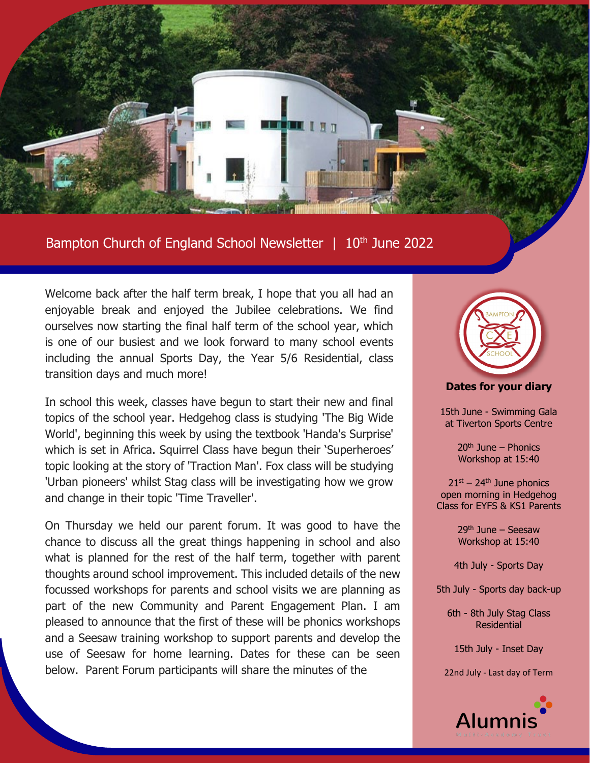

Bampton Church of England School Newsletter | 10<sup>th</sup> June 2022

Welcome back after the half term break, I hope that you all had an enjoyable break and enjoyed the Jubilee celebrations. We find ourselves now starting the final half term of the school year, which is one of our busiest and we look forward to many school events including the annual Sports Day, the Year 5/6 Residential, class transition days and much more!

In school this week, classes have begun to start their new and final topics of the school year. Hedgehog class is studying 'The Big Wide World', beginning this week by using the textbook 'Handa's Surprise' which is set in Africa. Squirrel Class have begun their 'Superheroes' topic looking at the story of 'Traction Man'. Fox class will be studying 'Urban pioneers' whilst Stag class will be investigating how we grow and change in their topic 'Time Traveller'.

On Thursday we held our parent forum. It was good to have the chance to discuss all the great things happening in school and also what is planned for the rest of the half term, together with parent thoughts around school improvement. This included details of the new focussed workshops for parents and school visits we are planning as part of the new Community and Parent Engagement Plan. I am pleased to announce that the first of these will be phonics workshops and a Seesaw training workshop to support parents and develop the use of Seesaw for home learning. Dates for these can be seen below. Parent Forum participants will share the minutes of the



**Dates for your diary**

15th June - Swimming Gala at Tiverton Sports Centre

> $20<sup>th</sup>$  June – Phonics Workshop at 15:40

 $21<sup>st</sup> - 24<sup>th</sup>$  June phonics open morning in Hedgehog Class for EYFS & KS1 Parents

> $29<sup>th</sup>$  June – Seesaw Workshop at 15:40

4th July - Sports Day

5th July - Sports day back-up

6th - 8th July Stag Class Residential

15th July - Inset Day

22nd July - Last day of Term

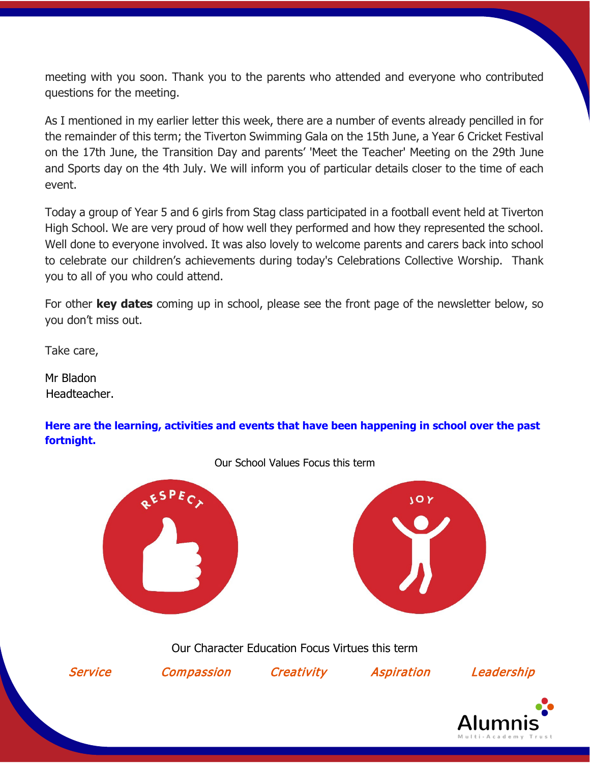meeting with you soon. Thank you to the parents who attended and everyone who contributed questions for the meeting.

As I mentioned in my earlier letter this week, there are a number of events already pencilled in for the remainder of this term; the Tiverton Swimming Gala on the 15th June, a Year 6 Cricket Festival on the 17th June, the Transition Day and parents' 'Meet the Teacher' Meeting on the 29th June and Sports day on the 4th July. We will inform you of particular details closer to the time of each event.

Today a group of Year 5 and 6 girls from Stag class participated in a football event held at Tiverton High School. We are very proud of how well they performed and how they represented the school. Well done to everyone involved. It was also lovely to welcome parents and carers back into school to celebrate our children's achievements during today's Celebrations Collective Worship. Thank you to all of you who could attend.

For other **key dates** coming up in school, please see the front page of the newsletter below, so you don't miss out.

Take care,

Mr Bladon Headteacher.

**Here are the learning, activities and events that have been happening in school over the past fortnight.**



Our School Values Focus this term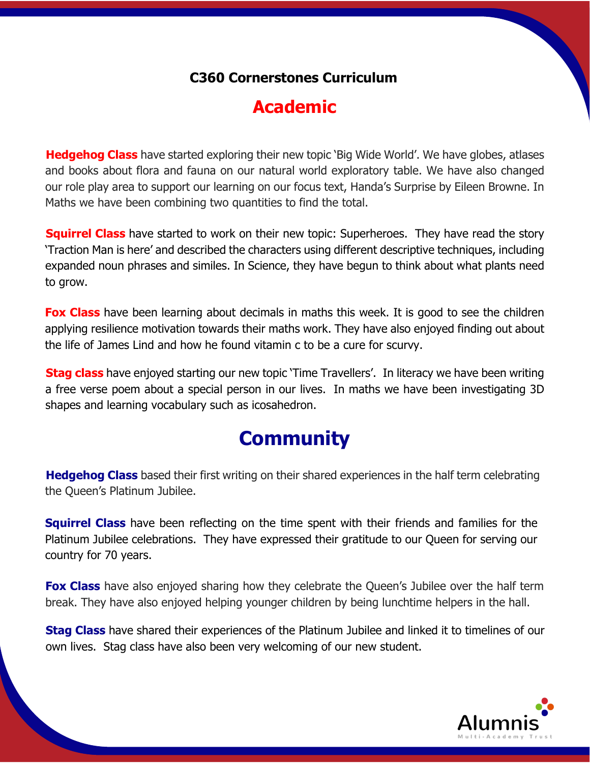### **C360 Cornerstones Curriculum**

## **Academic**

**Hedgehog Class** have started exploring their new topic 'Big Wide World'. We have globes, atlases and books about flora and fauna on our natural world exploratory table. We have also changed our role play area to support our learning on our focus text, Handa's Surprise by Eileen Browne. In Maths we have been combining two quantities to find the total.

**Squirrel Class** have started to work on their new topic: Superheroes. They have read the story 'Traction Man is here' and described the characters using different descriptive techniques, including expanded noun phrases and similes. In Science, they have begun to think about what plants need to grow.

**Fox Class** have been learning about decimals in maths this week. It is good to see the children applying resilience motivation towards their maths work. They have also enjoyed finding out about the life of James Lind and how he found vitamin c to be a cure for scurvy.

**Stag class** have enjoyed starting our new topic 'Time Travellers'. In literacy we have been writing a free verse poem about a special person in our lives. In maths we have been investigating 3D shapes and learning vocabulary such as icosahedron.

# **Community**

**Hedgehog Class** based their first writing on their shared experiences in the half term celebrating the Queen's Platinum Jubilee.

**Squirrel Class** have been reflecting on the time spent with their friends and families for the Platinum Jubilee celebrations. They have expressed their gratitude to our Queen for serving our country for 70 years.

**Fox Class** have also enjoyed sharing how they celebrate the Queen's Jubilee over the half term break. They have also enjoyed helping younger children by being lunchtime helpers in the hall.

**Stag Class** have shared their experiences of the Platinum Jubilee and linked it to timelines of our own lives. Stag class have also been very welcoming of our new student.

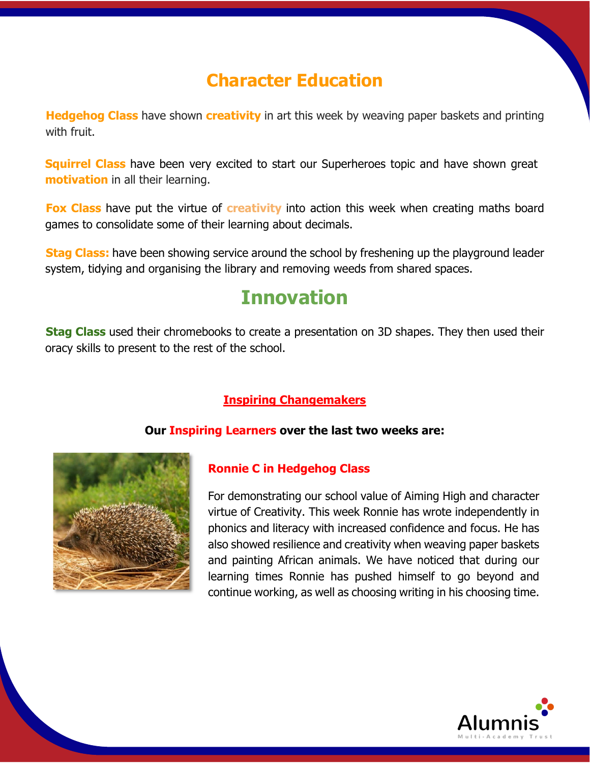## **Character Education**

**Hedgehog Class** have shown **creativity** in art this week by weaving paper baskets and printing with fruit.

**Squirrel Class** have been very excited to start our Superheroes topic and have shown great **motivation** in all their learning.

**Fox Class** have put the virtue of **creativity** into action this week when creating maths board games to consolidate some of their learning about decimals.

**Stag Class:** have been showing service around the school by freshening up the playground leader system, tidying and organising the library and removing weeds from shared spaces.

## **Innovation**

**Stag Class** used their chromebooks to create a presentation on 3D shapes. They then used their oracy skills to present to the rest of the school.

#### **Inspiring Changemakers**

#### **Our Inspiring Learners over the last two weeks are:**



#### **Ronnie C in Hedgehog Class**

For demonstrating our school value of Aiming High and character virtue of Creativity. This week Ronnie has wrote independently in phonics and literacy with increased confidence and focus. He has also showed resilience and creativity when weaving paper baskets and painting African animals. We have noticed that during our learning times Ronnie has pushed himself to go beyond and continue working, as well as choosing writing in his choosing time.

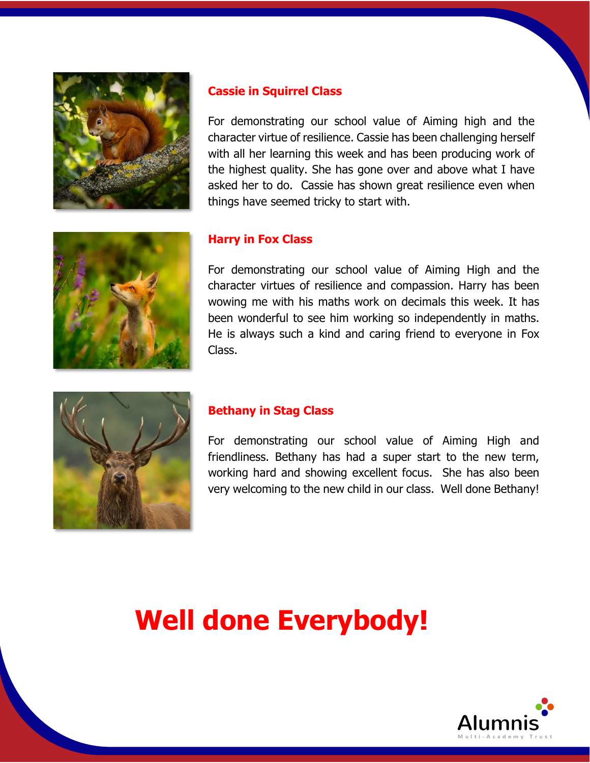

#### **Cassie in Squirrel Class**

For demonstrating our school value of Aiming high and the character virtue of resilience. Cassie has been challenging herself with all her learning this week and has been producing work of the highest quality. She has gone over and above what I have asked her to do. Cassie has shown great resilience even when things have seemed tricky to start with.



#### **Harry in Fox Class**

For demonstrating our school value of Aiming High and the character virtues of resilience and compassion. Harry has been wowing me with his maths work on decimals this week. It has been wonderful to see him working so independently in maths. He is always such a kind and caring friend to everyone in Fox Class.



#### **Bethany in Stag Class**

For demonstrating our school value of Aiming High and friendliness. Bethany has had a super start to the new term, working hard and showing excellent focus. She has also been very welcoming to the new child in our class. Well done Bethany!

# **Well done Everybody!**